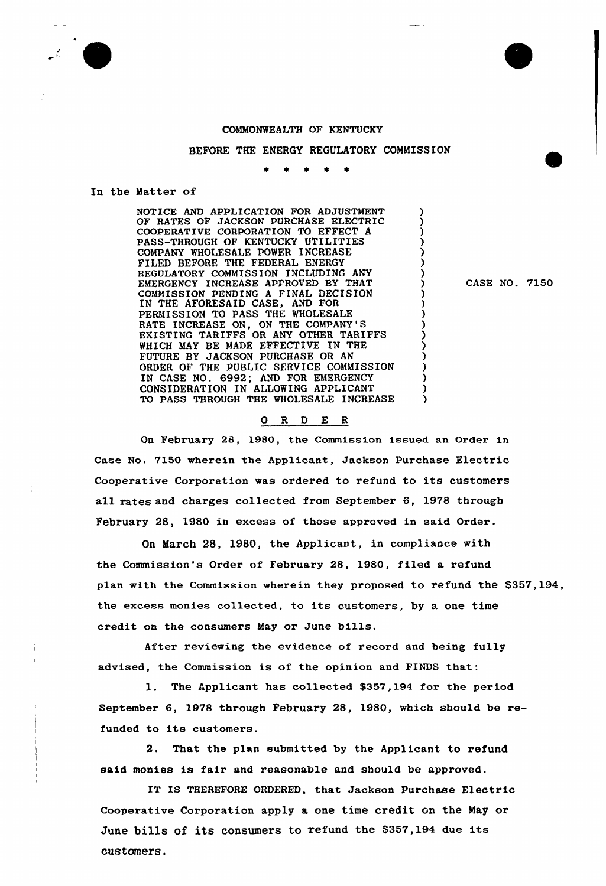## COMMONWEALTH OF KENTUCKY

BEFORE THE ENERGY REGULATORY COMMISSION

## In the Matter of

NOTICE AND APPLICATION FOR ADJUSTMENT OF RATES OF JACKSON PURCHASE ELECTRIC COOPERATIVE CORPORATION TO EFFECT A PASS-THROUGH OF KENTUCKY UTILITIES COMPANY WHOLESALE POWER INCREASE FILED BEFORE THE FEDERAL ENERGY REGULATORY COMMISSION INCLUDING ANY EMERGENCY INCREASE APPROVED BY THAT COMMISSION PENDING <sup>A</sup> FINAL DECISION IN THE AFORESAID CASE, AND FOR PERMISSION TO PASS THE WHOLESALE RATE INCREASE ON, ON THE COMPANY'S EXISTING TARIFFS OR ANY OTHER TARIFFS WHICH MAY BE MADE EFFECTIVE IN THE FUTURE BY JACKSON PURCHASE OR AN ORDER OF THE PUBLIC SERVICE COMMISSION IN CASE NO. 6992; AND FOR EMERGENCY CONSIDERATION IN ALLOWING APPLICANT λ TO PASS THROUGH THE WHOLESALE INCREASE λ

CASE NO. 7150

## ORDER

On February 28, 1980, the Commission issued an Oxder in Case No. 7150 wherein the Applicant, Jackson Purchase Electric Cooperative Corpoxation was ordered to refund to its customers all rates and charges collected from September 6, 1978 through February 28, 1980 in excess of those approved in said Order.

On March 28, 1980, the Applicant, in compliance with the Commission's Order of Februaxy 28, 1980, filed a refund plan with the Commission wherein they proposed to refund the \$357,194, the excess monies collected, to its customers, by <sup>a</sup> one time credit on the consumers May or June bills.

After reviewing the evidence of record and being fully advised, the Commission is of the opinion and FINDS that:

1. The Applicant has collected \$357,194 for the period September 6, 1978 through February 28, 1980, which should be refunded to its customers.

2. That the plan submitted by the Applicant to refund said monies is fair and reasonable and should be approved.

IT IS THEREFORE ORDERED, that Jackson Purchase Electric Cooperative Corporation apply a one time credit on the May or June bills of its consumers to refund the \$357,194 due its customers.